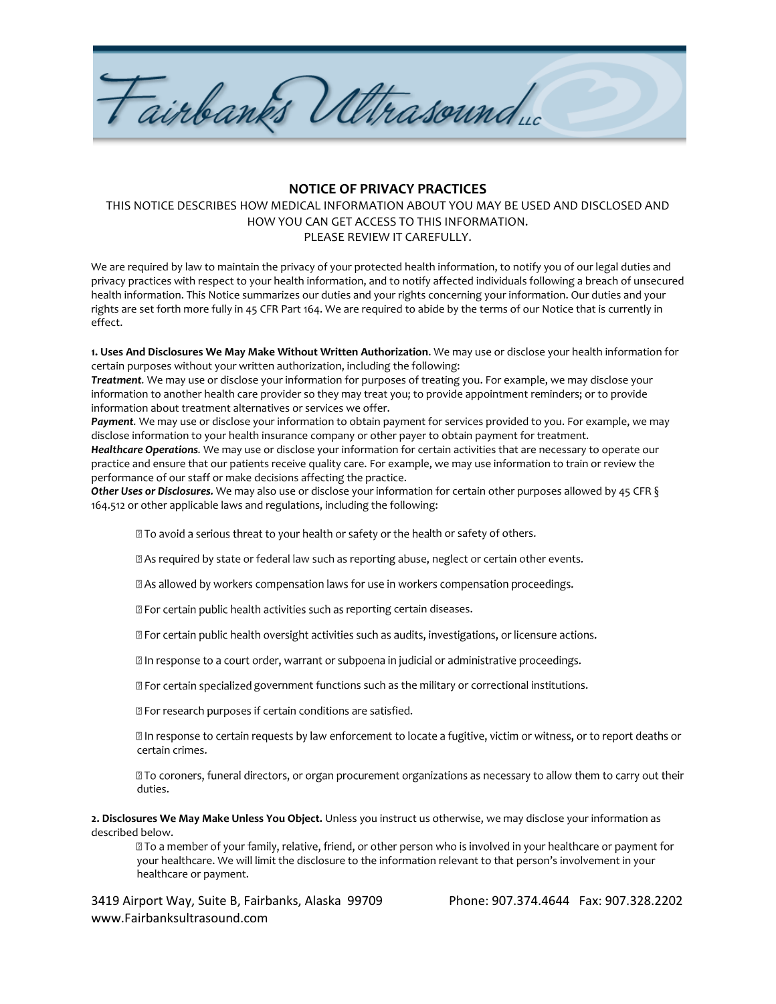Fairbanks Ultrasounduc

## **NOTICE OF PRIVACY PRACTICES**

## THIS NOTICE DESCRIBES HOW MEDICAL INFORMATION ABOUT YOU MAY BE USED AND DISCLOSED AND HOW YOU CAN GET ACCESS TO THIS INFORMATION. PLEASE REVIEW IT CAREFULLY.

We are required by law to maintain the privacy of your protected health information, to notify you of our legal duties and privacy practices with respect to your health information, and to notify affected individuals following a breach of unsecured health information. This Notice summarizes our duties and your rights concerning your information. Our duties and your rights are set forth more fully in 45 CFR Part 164. We are required to abide by the terms of our Notice that is currently in effect.

**1. Uses And Disclosures We May Make Without Written Authorization**. We may use or disclose your health information for certain purposes without your written authorization, including the following:

*Treatment.* We may use or disclose your information for purposes of treating you. For example, we may disclose your information to another health care provider so they may treat you; to provide appointment reminders; or to provide information about treatment alternatives or services we offer.

*Payment.* We may use or disclose your information to obtain payment for services provided to you. For example, we may disclose information to your health insurance company or other payer to obtain payment for treatment.

*Healthcare Operations.* We may use or disclose your information for certain activities that are necessary to operate our practice and ensure that our patients receive quality care. For example, we may use information to train or review the performance of our staff or make decisions affecting the practice.

*Other Uses or Disclosures.* We may also use or disclose your information for certain other purposes allowed by 45 CFR § 164.512 or other applicable laws and regulations, including the following:

X To avoid a serious threat to your health or safety or the health or safety of others.

as required by state or federal law such as reporting abuse, neglect or certain other events.

a As allowed by workers compensation laws for use in workers compensation proceedings.

**D** For certain public health activities such as reporting certain diseases.

I For certain public health oversight activities such as audits, investigations, or licensure actions.

In response to a court order, warrant or subpoena in judicial or administrative proceedings.

**D** For certain specialized government functions such as the military or correctional institutions.

7 For research purposes if certain conditions are satisfied.

Il n response to certain requests by law enforcement to locate a fugitive, victim or witness, or to report deaths or certain crimes.

⊠ To coroners, funeral directors, or organ procurement organizations as necessary to allow them to carry out their duties.

**2. Disclosures We May Make Unless You Object.** Unless you instruct us otherwise, we may disclose your information as described below.

**Z** To a member of your family, relative, friend, or other person who is involved in your healthcare or payment for your healthcare. We will limit the disclosure to the information relevant to that person's involvement in your healthcare or payment.

3419 Airport Way, Suite B, Fairbanks, Alaska 99709 Phone: 907.374.4644 Fax: 907.328.2202 www.Fairbanksultrasound.com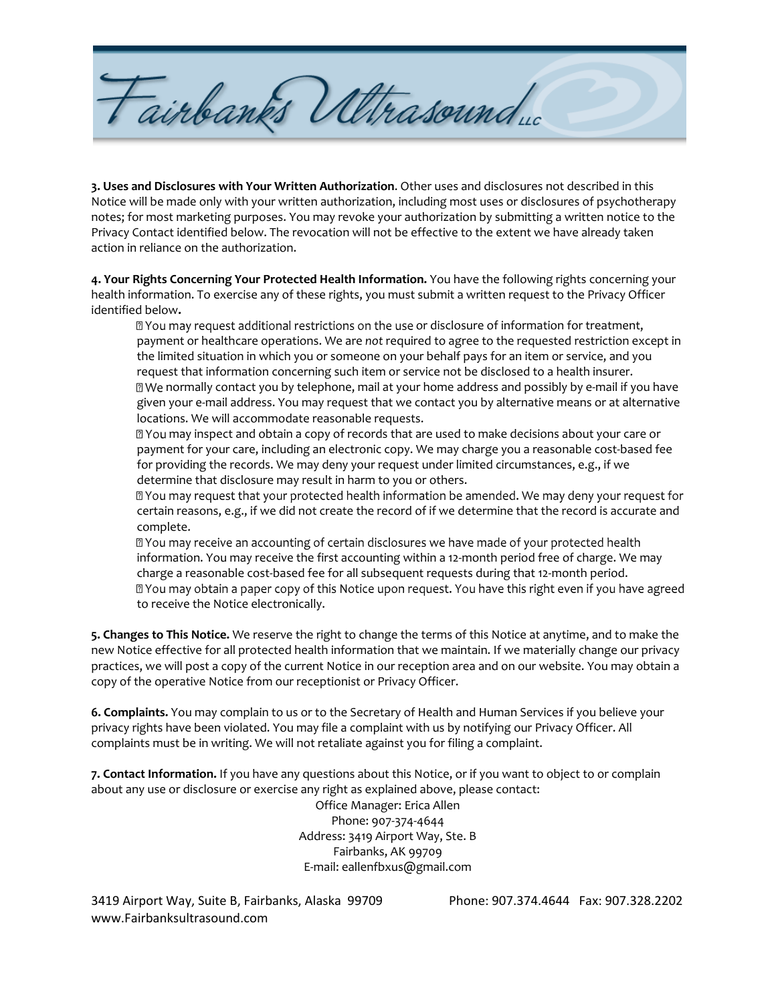Fairbanks Ultrasounduc

**3. Uses and Disclosures with Your Written Authorization**. Other uses and disclosures not described in this Notice will be made only with your written authorization, including most uses or disclosures of psychotherapy notes; for most marketing purposes. You may revoke your authorization by submitting a written notice to the Privacy Contact identified below. The revocation will not be effective to the extent we have already taken action in reliance on the authorization.

**4. Your Rights Concerning Your Protected Health Information.** You have the following rights concerning your health information. To exercise any of these rights, you must submit a written request to the Privacy Officer identified below**.** 

**Nou may request additional restrictions on the use or disclosure of information for treatment,** payment or healthcare operations. We are *not* required to agree to the requested restriction except in the limited situation in which you or someone on your behalf pays for an item or service, and you request that information concerning such item or service not be disclosed to a health insurer.  $\mathbb B$  We normally contact you by telephone, mail at your home address and possibly by e-mail if you have given your e-mail address. You may request that we contact you by alternative means or at alternative locations. We will accommodate reasonable requests.

 $\mathbb D$  You may inspect and obtain a copy of records that are used to make decisions about your care or payment for your care, including an electronic copy. We may charge you a reasonable cost-based fee for providing the records. We may deny your request under limited circumstances, e.g., if we

determine that disclosure may result in harm to you or others.<br>2 You may request that your protected health information be amended. We may deny your request for certain reasons, e.g., if we did not create the record of if we determine that the record is accurate and complete.

X You may receive an accounting of certain disclosures we have made of your protected health information. You may receive the first accounting within a 12-month period free of charge. We may charge a reasonable cost-based fee for all subsequent requests during that 12-month period. ⊠ You may obtain a paper copy of this Notice upon request. You have this right even if you have agreed to receive the Notice electronically.

**5. Changes to This Notice.** We reserve the right to change the terms of this Notice at anytime, and to make the new Notice effective for all protected health information that we maintain. If we materially change our privacy practices, we will post a copy of the current Notice in our reception area and on our website. You may obtain a copy of the operative Notice from our receptionist or Privacy Officer.

**6. Complaints.** You may complain to us or to the Secretary of Health and Human Services if you believe your privacy rights have been violated. You may file a complaint with us by notifying our Privacy Officer. All complaints must be in writing. We will not retaliate against you for filing a complaint.

**7. Contact Information.** If you have any questions about this Notice, or if you want to object to or complain about any use or disclosure or exercise any right as explained above, please contact:

Office Manager: Erica Allen Phone: 907-374-4644 Address: 3419 Airport Way, Ste. B Fairbanks, AK 99709 E-mail: eallenfbxus@gmail.com

3419 Airport Way, Suite B, Fairbanks, Alaska 99709 Phone: 907.374.4644 Fax: 907.328.2202 www.Fairbanksultrasound.com